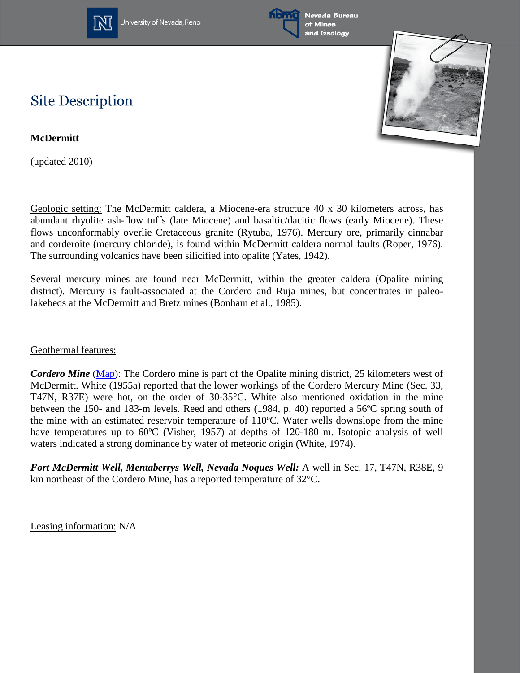

University of Nevada, Reno



Nevada Bureau and Geology



## **Site Description**

**McDermitt**

(updated 2010)

Geologic setting: The McDermitt caldera, a Miocene-era structure 40 x 30 kilometers across, has abundant rhyolite ash-flow tuffs (late Miocene) and basaltic/dacitic flows (early Miocene). These flows unconformably overlie Cretaceous granite (Rytuba, 1976). Mercury ore, primarily cinnabar and corderoite (mercury chloride), is found within McDermitt caldera normal faults (Roper, 1976). The surrounding volcanics have been silicified into opalite (Yates, 1942).

Several mercury mines are found near McDermitt, within the greater caldera (Opalite mining district). Mercury is fault-associated at the Cordero and Ruja mines, but concentrates in paleolakebeds at the McDermitt and Bretz mines (Bonham et al., 1985).

## Geothermal features:

*Cordero Mine* [\(Map\)](http://www.nbmg.unr.edu/geothermal/detailedmaps/Cordero%20Mercury%20Mine.pdf): The Cordero mine is part of the Opalite mining district, 25 kilometers west of McDermitt. White (1955a) reported that the lower workings of the Cordero Mercury Mine (Sec. 33, T47N, R37E) were hot, on the order of 30-35°C. White also mentioned oxidation in the mine between the 150- and 183-m levels. Reed and others (1984, p. 40) reported a 56ºC spring south of the mine with an estimated reservoir temperature of 110ºC. Water wells downslope from the mine have temperatures up to 60<sup>o</sup>C (Visher, 1957) at depths of 120-180 m. Isotopic analysis of well waters indicated a strong dominance by water of meteoric origin (White, 1974).

*Fort McDermitt Well, Mentaberrys Well, Nevada Noques Well:* A well in Sec. 17, T47N, R38E, 9 km northeast of the Cordero Mine, has a reported temperature of 32°C.

Leasing information: N/A